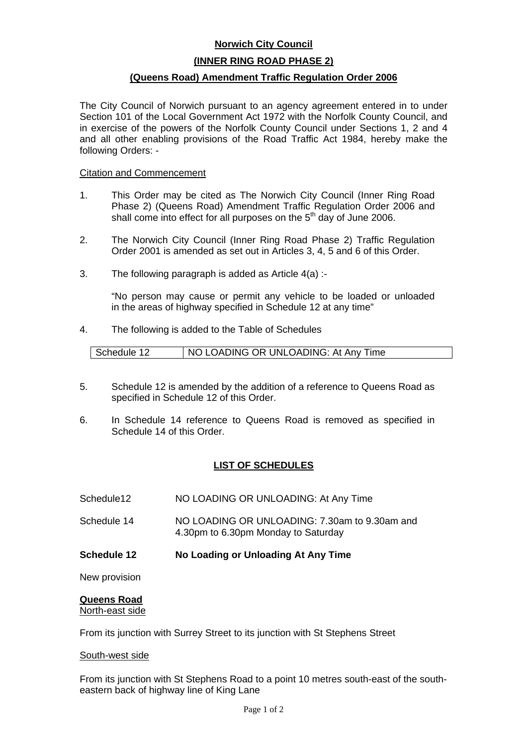# **Norwich City Council**

## **(INNER RING ROAD PHASE 2)**

## **(Queens Road) Amendment Traffic Regulation Order 2006**

The City Council of Norwich pursuant to an agency agreement entered in to under Section 101 of the Local Government Act 1972 with the Norfolk County Council, and in exercise of the powers of the Norfolk County Council under Sections 1, 2 and 4 and all other enabling provisions of the Road Traffic Act 1984, hereby make the following Orders: -

### Citation and Commencement

- 1. This Order may be cited as The Norwich City Council (Inner Ring Road Phase 2) (Queens Road) Amendment Traffic Regulation Order 2006 and shall come into effect for all purposes on the  $5<sup>th</sup>$  day of June 2006.
- 2. The Norwich City Council (Inner Ring Road Phase 2) Traffic Regulation Order 2001 is amended as set out in Articles 3, 4, 5 and 6 of this Order.
- 3. The following paragraph is added as Article 4(a) :-

"No person may cause or permit any vehicle to be loaded or unloaded in the areas of highway specified in Schedule 12 at any time"

4. The following is added to the Table of Schedules

- 5. Schedule 12 is amended by the addition of a reference to Queens Road as specified in Schedule 12 of this Order.
- 6. In Schedule 14 reference to Queens Road is removed as specified in Schedule 14 of this Order.

# **LIST OF SCHEDULES**

- Schedule12 NO LOADING OR UNLOADING: At Any Time
- Schedule 14 NO LOADING OR UNLOADING: 7.30am to 9.30am and 4.30pm to 6.30pm Monday to Saturday
- **Schedule 12 No Loading or Unloading At Any Time**

New provision

# **Queens Road**

North-east side

From its junction with Surrey Street to its junction with St Stephens Street

### South-west side

From its junction with St Stephens Road to a point 10 metres south-east of the southeastern back of highway line of King Lane